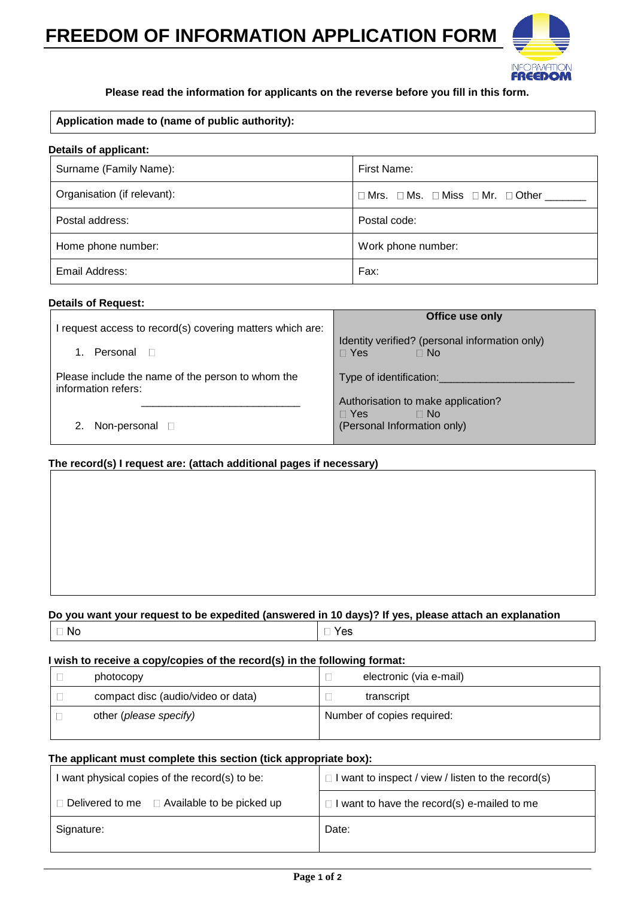# **FREEDOM OF INFORMATION APPLICATION FORM**



### **Please read the information for applicants on the reverse before you fill in this form.**

### **Application made to (name of public authority):**

| <b>Details of applicant:</b> |                                         |  |
|------------------------------|-----------------------------------------|--|
| Surname (Family Name):       | First Name:                             |  |
| Organisation (if relevant):  | □ Mrs. □ Ms. □ Miss □ Mr. □ Other _____ |  |
| Postal address:              | Postal code:                            |  |
| Home phone number:           | Work phone number:                      |  |
| Email Address:               | Fax:                                    |  |

### **Details of Request:**

| I request access to record(s) covering matters which are:<br>Personal <b>D</b> | Office use only<br>Identity verified? (personal information only)<br>$\Box$ Yes<br>$\Box$ No |
|--------------------------------------------------------------------------------|----------------------------------------------------------------------------------------------|
| Please include the name of the person to whom the<br>information refers:       | Type of identification:                                                                      |
| Non-personal D                                                                 | Authorisation to make application?<br>$\Box$ Yes<br>$\Box$ No<br>(Personal Information only) |

## **The record(s) I request are: (attach additional pages if necessary)**

# **Do you want your request to be expedited (answered in 10 days)? If yes, please attach an explanation**

|--|

 $\Box$  Yes

### **I wish to receive a copy/copies of the record(s) in the following format:**

| photocopy                          | electronic (via e-mail)    |  |
|------------------------------------|----------------------------|--|
| compact disc (audio/video or data) | transcript                 |  |
| other (please specify)             | Number of copies required: |  |

### **The applicant must complete this section (tick appropriate box):**

| I want physical copies of the record(s) to be:          | $\Box$ I want to inspect / view / listen to the record(s) |
|---------------------------------------------------------|-----------------------------------------------------------|
| $\Box$ Delivered to me $\Box$ Available to be picked up | $\Box$ I want to have the record(s) e-mailed to me        |
| Signature:                                              | Date:                                                     |